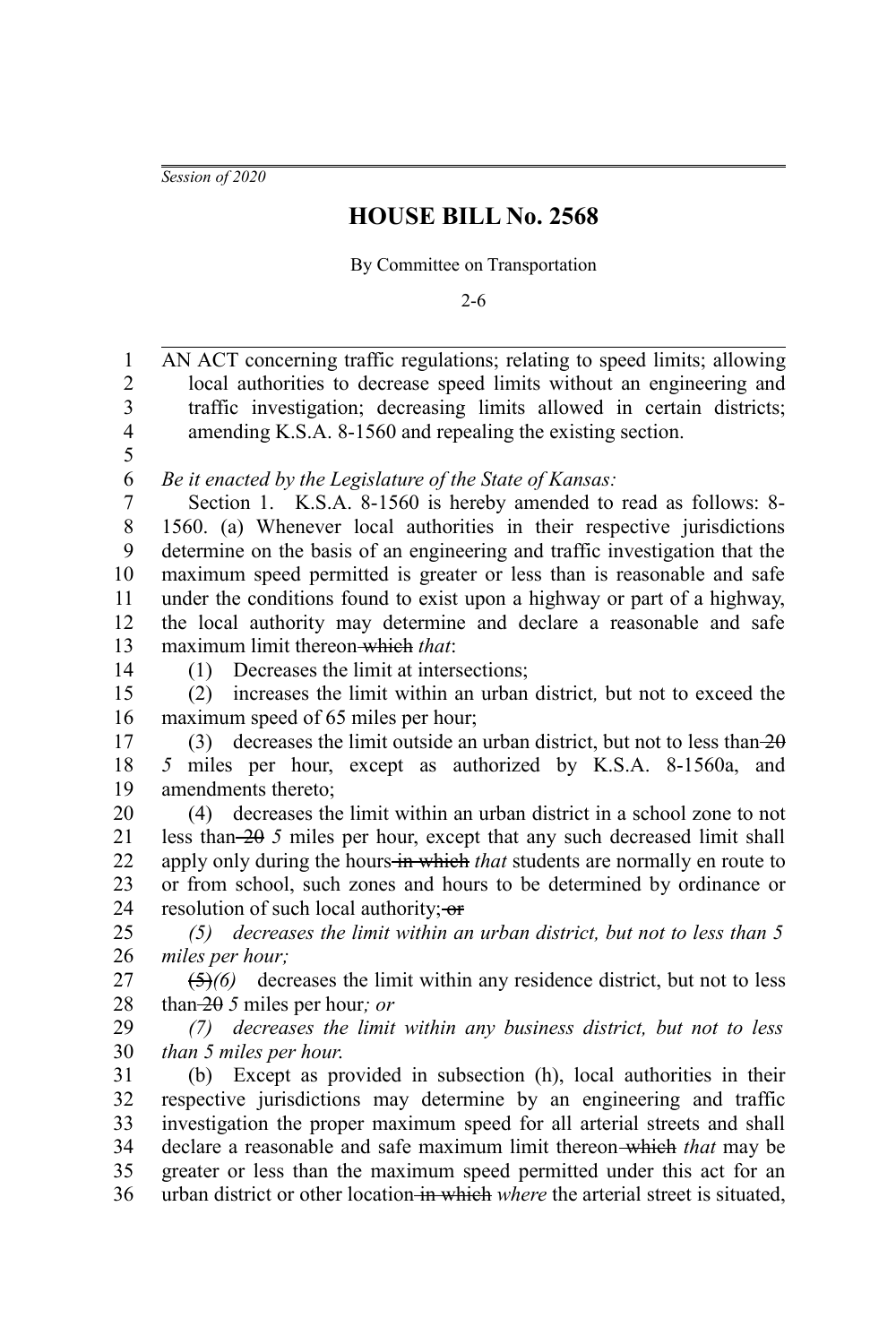*Session of 2020*

## **HOUSE BILL No. 2568**

By Committee on Transportation

2-6

AN ACT concerning traffic regulations; relating to speed limits; allowing local authorities to decrease speed limits without an engineering and traffic investigation; decreasing limits allowed in certain districts; amending K.S.A. 8-1560 and repealing the existing section. *Be it enacted by the Legislature of the State of Kansas:* Section 1. K.S.A. 8-1560 is hereby amended to read as follows: 8- 1560. (a) Whenever local authorities in their respective jurisdictions determine on the basis of an engineering and traffic investigation that the maximum speed permitted is greater or less than is reasonable and safe under the conditions found to exist upon a highway or part of a highway, the local authority may determine and declare a reasonable and safe maximum limit thereon which *that*: (1) Decreases the limit at intersections; (2) increases the limit within an urban district*,* but not to exceed the maximum speed of 65 miles per hour; (3) decreases the limit outside an urban district, but not to less than  $\overline{20}$ *5* miles per hour, except as authorized by K.S.A. 8-1560a, and amendments thereto; (4) decreases the limit within an urban district in a school zone to not less than 20 *5* miles per hour, except that any such decreased limit shall apply only during the hours in which *that* students are normally en route to or from school, such zones and hours to be determined by ordinance or resolution of such local authority: or *(5) decreases the limit within an urban district, but not to less than 5 miles per hour;* (5)*(6)* decreases the limit within any residence district, but not to less than 20 *5* miles per hour*; or (7) decreases the limit within any business district, but not to less than 5 miles per hour*. (b) Except as provided in subsection (h), local authorities in their respective jurisdictions may determine by an engineering and traffic investigation the proper maximum speed for all arterial streets and shall declare a reasonable and safe maximum limit thereon which *that* may be greater or less than the maximum speed permitted under this act for an urban district or other location in which *where* the arterial street is situated, 1 2 3 4 5 6 7 8 9 10 11 12 13 14 15 16 17 18 19 20 21 22 23 24 25 26 27 28 29 30 31 32 33 34 35 36